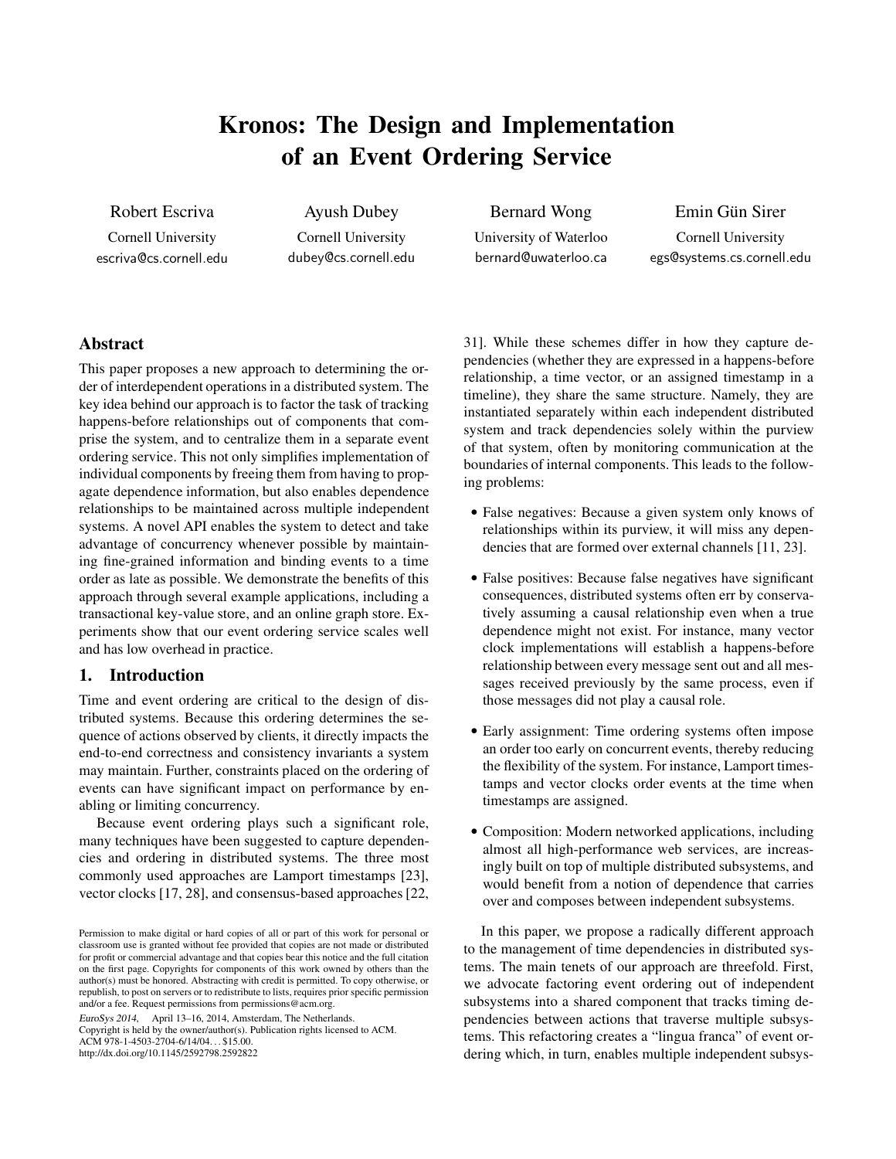# Kronos: The Design and Implementation of an Event Ordering Service

## Robert Escriva

Cornell University escriva@cs.cornell.edu Ayush Dubey

Cornell University dubey@cs.cornell.edu Bernard Wong

University of Waterloo bernard@uwaterloo.ca

Emin Gün Sirer

Cornell University egs@systems.cs.cornell.edu

# Abstract

This paper proposes a new approach to determining the order of interdependent operations in a distributed system. The key idea behind our approach is to factor the task of tracking happens-before relationships out of components that comprise the system, and to centralize them in a separate event ordering service. This not only simplifies implementation of individual components by freeing them from having to propagate dependence information, but also enables dependence relationships to be maintained across multiple independent systems. A novel API enables the system to detect and take advantage of concurrency whenever possible by maintaining fine-grained information and binding events to a time order as late as possible. We demonstrate the benefits of this approach through several example applications, including a transactional key-value store, and an online graph store. Experiments show that our event ordering service scales well and has low overhead in practice.

# 1. Introduction

Time and event ordering are critical to the design of distributed systems. Because this ordering determines the sequence of actions observed by clients, it directly impacts the end-to-end correctness and consistency invariants a system may maintain. Further, constraints placed on the ordering of events can have significant impact on performance by enabling or limiting concurrency.

Because event ordering plays such a significant role, many techniques have been suggested to capture dependencies and ordering in distributed systems. The three most commonly used approaches are Lamport timestamps [23], vector clocks [17, 28], and consensus-based approaches [22,

EuroSys <sup>2014</sup>, April 13–16, 2014, Amsterdam, The Netherlands.

Copyright is held by the owner/author(s). Publication rights licensed to ACM. ACM 978-1-4503-2704-6/14/04. . . \$15.00.

http://dx.doi.org/10.1145/2592798.2592822

31]. While these schemes differ in how they capture dependencies (whether they are expressed in a happens-before relationship, a time vector, or an assigned timestamp in a timeline), they share the same structure. Namely, they are instantiated separately within each independent distributed system and track dependencies solely within the purview of that system, often by monitoring communication at the boundaries of internal components. This leads to the following problems:

- False negatives: Because a given system only knows of relationships within its purview, it will miss any dependencies that are formed over external channels [11, 23].
- False positives: Because false negatives have significant consequences, distributed systems often err by conservatively assuming a causal relationship even when a true dependence might not exist. For instance, many vector clock implementations will establish a happens-before relationship between every message sent out and all messages received previously by the same process, even if those messages did not play a causal role.
- Early assignment: Time ordering systems often impose an order too early on concurrent events, thereby reducing the flexibility of the system. For instance, Lamport timestamps and vector clocks order events at the time when timestamps are assigned.
- Composition: Modern networked applications, including almost all high-performance web services, are increasingly built on top of multiple distributed subsystems, and would benefit from a notion of dependence that carries over and composes between independent subsystems.

In this paper, we propose a radically different approach to the management of time dependencies in distributed systems. The main tenets of our approach are threefold. First, we advocate factoring event ordering out of independent subsystems into a shared component that tracks timing dependencies between actions that traverse multiple subsystems. This refactoring creates a "lingua franca" of event ordering which, in turn, enables multiple independent subsys-

Permission to make digital or hard copies of all or part of this work for personal or classroom use is granted without fee provided that copies are not made or distributed for profit or commercial advantage and that copies bear this notice and the full citation on the first page. Copyrights for components of this work owned by others than the author(s) must be honored. Abstracting with credit is permitted. To copy otherwise, or republish, to post on servers or to redistribute to lists, requires prior specific permission and/or a fee. Request permissions from permissions@acm.org.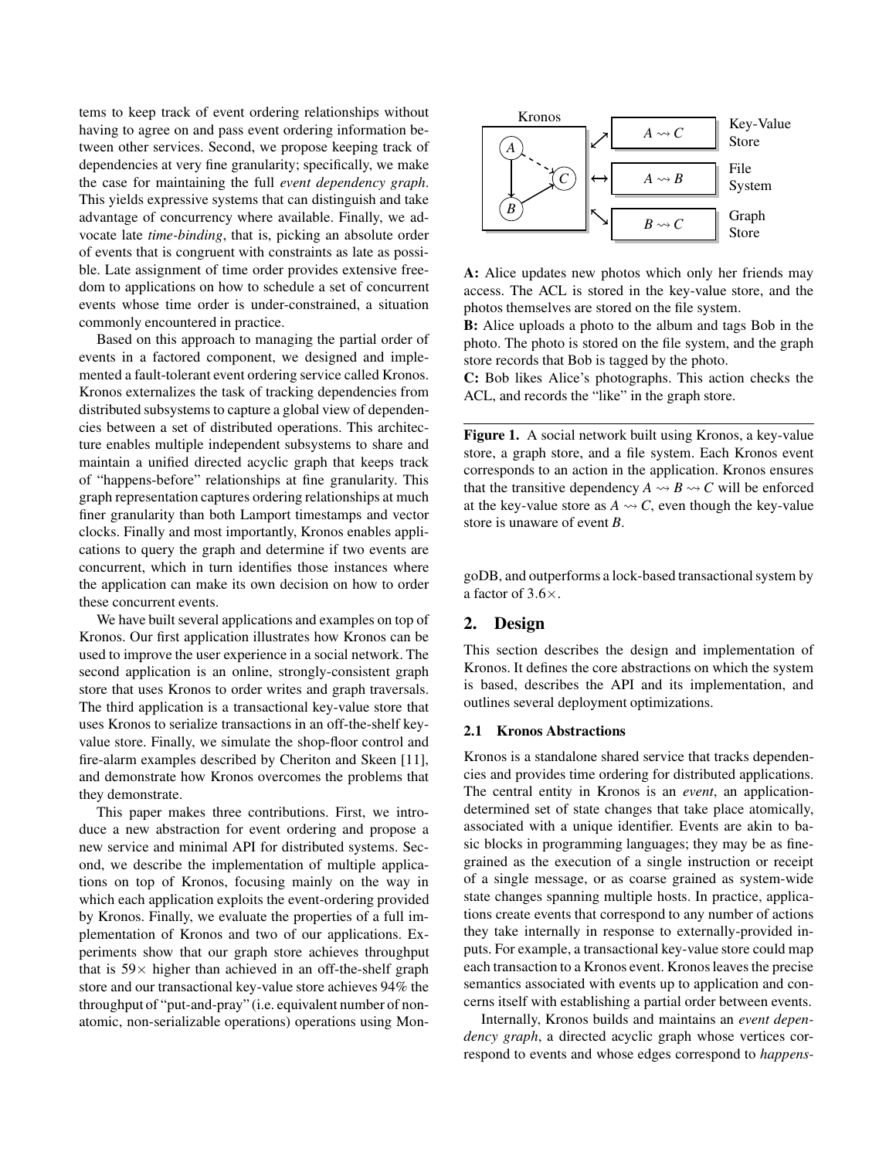tems to keep track of event ordering relationships without having to agree on and pass event ordering information between other services. Second, we propose keeping track of dependencies at very fine granularity; specifically, we make the case for maintaining the full *event dependency graph*. This yields expressive systems that can distinguish and take advantage of concurrency where available. Finally, we advocate late *time-binding*, that is, picking an absolute order of events that is congruent with constraints as late as possible. Late assignment of time order provides extensive freedom to applications on how to schedule a set of concurrent events whose time order is under-constrained, a situation commonly encountered in practice.

Based on this approach to managing the partial order of events in a factored component, we designed and implemented a fault-tolerant event ordering service called Kronos. Kronos externalizes the task of tracking dependencies from distributed subsystems to capture a global view of dependencies between a set of distributed operations. This architecture enables multiple independent subsystems to share and maintain a unified directed acyclic graph that keeps track of "happens-before" relationships at fine granularity. This graph representation captures ordering relationships at much finer granularity than both Lamport timestamps and vector clocks. Finally and most importantly, Kronos enables applications to query the graph and determine if two events are concurrent, which in turn identifies those instances where the application can make its own decision on how to order these concurrent events.

We have built several applications and examples on top of Kronos. Our first application illustrates how Kronos can be used to improve the user experience in a social network. The second application is an online, strongly-consistent graph store that uses Kronos to order writes and graph traversals. The third application is a transactional key-value store that uses Kronos to serialize transactions in an off-the-shelf keyvalue store. Finally, we simulate the shop-floor control and fire-alarm examples described by Cheriton and Skeen [11], and demonstrate how Kronos overcomes the problems that they demonstrate.

This paper makes three contributions. First, we introduce a new abstraction for event ordering and propose a new service and minimal API for distributed systems. Second, we describe the implementation of multiple applications on top of Kronos, focusing mainly on the way in which each application exploits the event-ordering provided by Kronos. Finally, we evaluate the properties of a full implementation of Kronos and two of our applications. Experiments show that our graph store achieves throughput that is  $59\times$  higher than achieved in an off-the-shelf graph store and our transactional key-value store achieves 94% the throughput of "put-and-pray" (i.e. equivalent number of nonatomic, non-serializable operations) operations using Mon-



A: Alice updates new photos which only her friends may access. The ACL is stored in the key-value store, and the photos themselves are stored on the file system.

B: Alice uploads a photo to the album and tags Bob in the photo. The photo is stored on the file system, and the graph store records that Bob is tagged by the photo.

C: Bob likes Alice's photographs. This action checks the ACL, and records the "like" in the graph store.

Figure 1. A social network built using Kronos, a key-value store, a graph store, and a file system. Each Kronos event corresponds to an action in the application. Kronos ensures that the transitive dependency  $A \rightarrow B \rightarrow C$  will be enforced at the key-value store as  $A \rightarrow C$ , even though the key-value store is unaware of event *B*.

goDB, and outperforms a lock-based transactional system by a factor of 3.6×.

# 2. Design

This section describes the design and implementation of Kronos. It defines the core abstractions on which the system is based, describes the API and its implementation, and outlines several deployment optimizations.

## 2.1 Kronos Abstractions

Kronos is a standalone shared service that tracks dependencies and provides time ordering for distributed applications. The central entity in Kronos is an *event*, an applicationdetermined set of state changes that take place atomically, associated with a unique identifier. Events are akin to basic blocks in programming languages; they may be as finegrained as the execution of a single instruction or receipt of a single message, or as coarse grained as system-wide state changes spanning multiple hosts. In practice, applications create events that correspond to any number of actions they take internally in response to externally-provided inputs. For example, a transactional key-value store could map each transaction to a Kronos event. Kronos leaves the precise semantics associated with events up to application and concerns itself with establishing a partial order between events.

Internally, Kronos builds and maintains an *event dependency graph*, a directed acyclic graph whose vertices correspond to events and whose edges correspond to *happens-*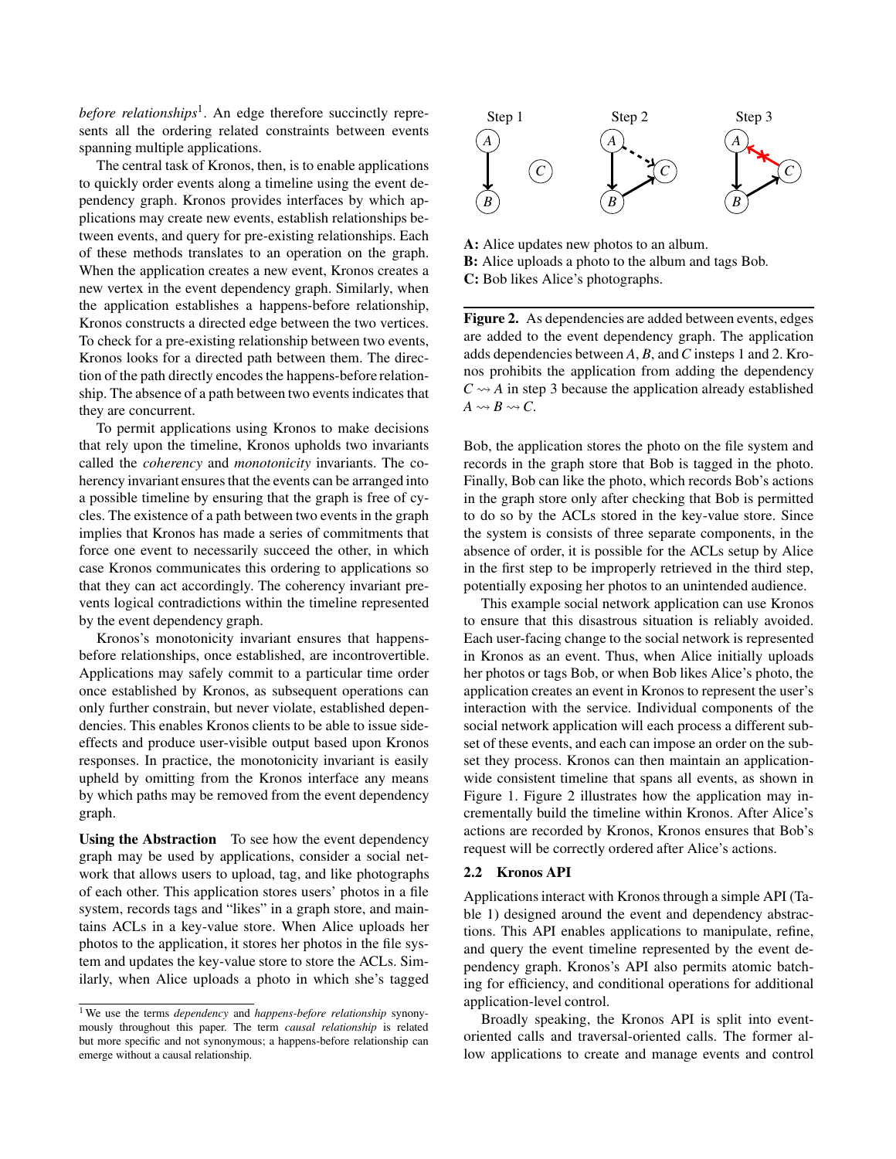*before relationships*<sup>1</sup> . An edge therefore succinctly represents all the ordering related constraints between events spanning multiple applications.

The central task of Kronos, then, is to enable applications to quickly order events along a timeline using the event dependency graph. Kronos provides interfaces by which applications may create new events, establish relationships between events, and query for pre-existing relationships. Each of these methods translates to an operation on the graph. When the application creates a new event, Kronos creates a new vertex in the event dependency graph. Similarly, when the application establishes a happens-before relationship, Kronos constructs a directed edge between the two vertices. To check for a pre-existing relationship between two events, Kronos looks for a directed path between them. The direction of the path directly encodes the happens-before relationship. The absence of a path between two events indicates that they are concurrent.

To permit applications using Kronos to make decisions that rely upon the timeline, Kronos upholds two invariants called the *coherency* and *monotonicity* invariants. The coherency invariant ensures that the events can be arranged into a possible timeline by ensuring that the graph is free of cycles. The existence of a path between two events in the graph implies that Kronos has made a series of commitments that force one event to necessarily succeed the other, in which case Kronos communicates this ordering to applications so that they can act accordingly. The coherency invariant prevents logical contradictions within the timeline represented by the event dependency graph.

Kronos's monotonicity invariant ensures that happensbefore relationships, once established, are incontrovertible. Applications may safely commit to a particular time order once established by Kronos, as subsequent operations can only further constrain, but never violate, established dependencies. This enables Kronos clients to be able to issue sideeffects and produce user-visible output based upon Kronos responses. In practice, the monotonicity invariant is easily upheld by omitting from the Kronos interface any means by which paths may be removed from the event dependency graph.

Using the Abstraction To see how the event dependency graph may be used by applications, consider a social network that allows users to upload, tag, and like photographs of each other. This application stores users' photos in a file system, records tags and "likes" in a graph store, and maintains ACLs in a key-value store. When Alice uploads her photos to the application, it stores her photos in the file system and updates the key-value store to store the ACLs. Similarly, when Alice uploads a photo in which she's tagged



A: Alice updates new photos to an album. B: Alice uploads a photo to the album and tags Bob. C: Bob likes Alice's photographs.

Figure 2. As dependencies are added between events, edges are added to the event dependency graph. The application adds dependencies between *A*, *B*, and*C* insteps 1 and 2. Kronos prohibits the application from adding the dependency  $C \rightarrow A$  in step 3 because the application already established  $A \rightsquigarrow B \rightsquigarrow C$ .

Bob, the application stores the photo on the file system and records in the graph store that Bob is tagged in the photo. Finally, Bob can like the photo, which records Bob's actions in the graph store only after checking that Bob is permitted to do so by the ACLs stored in the key-value store. Since the system is consists of three separate components, in the absence of order, it is possible for the ACLs setup by Alice in the first step to be improperly retrieved in the third step, potentially exposing her photos to an unintended audience.

This example social network application can use Kronos to ensure that this disastrous situation is reliably avoided. Each user-facing change to the social network is represented in Kronos as an event. Thus, when Alice initially uploads her photos or tags Bob, or when Bob likes Alice's photo, the application creates an event in Kronos to represent the user's interaction with the service. Individual components of the social network application will each process a different subset of these events, and each can impose an order on the subset they process. Kronos can then maintain an applicationwide consistent timeline that spans all events, as shown in Figure 1. Figure 2 illustrates how the application may incrementally build the timeline within Kronos. After Alice's actions are recorded by Kronos, Kronos ensures that Bob's request will be correctly ordered after Alice's actions.

## 2.2 Kronos API

Applications interact with Kronos through a simple API (Table 1) designed around the event and dependency abstractions. This API enables applications to manipulate, refine, and query the event timeline represented by the event dependency graph. Kronos's API also permits atomic batching for efficiency, and conditional operations for additional application-level control.

Broadly speaking, the Kronos API is split into eventoriented calls and traversal-oriented calls. The former allow applications to create and manage events and control

<sup>1</sup> We use the terms *dependency* and *happens-before relationship* synonymously throughout this paper. The term *causal relationship* is related but more specific and not synonymous; a happens-before relationship can emerge without a causal relationship.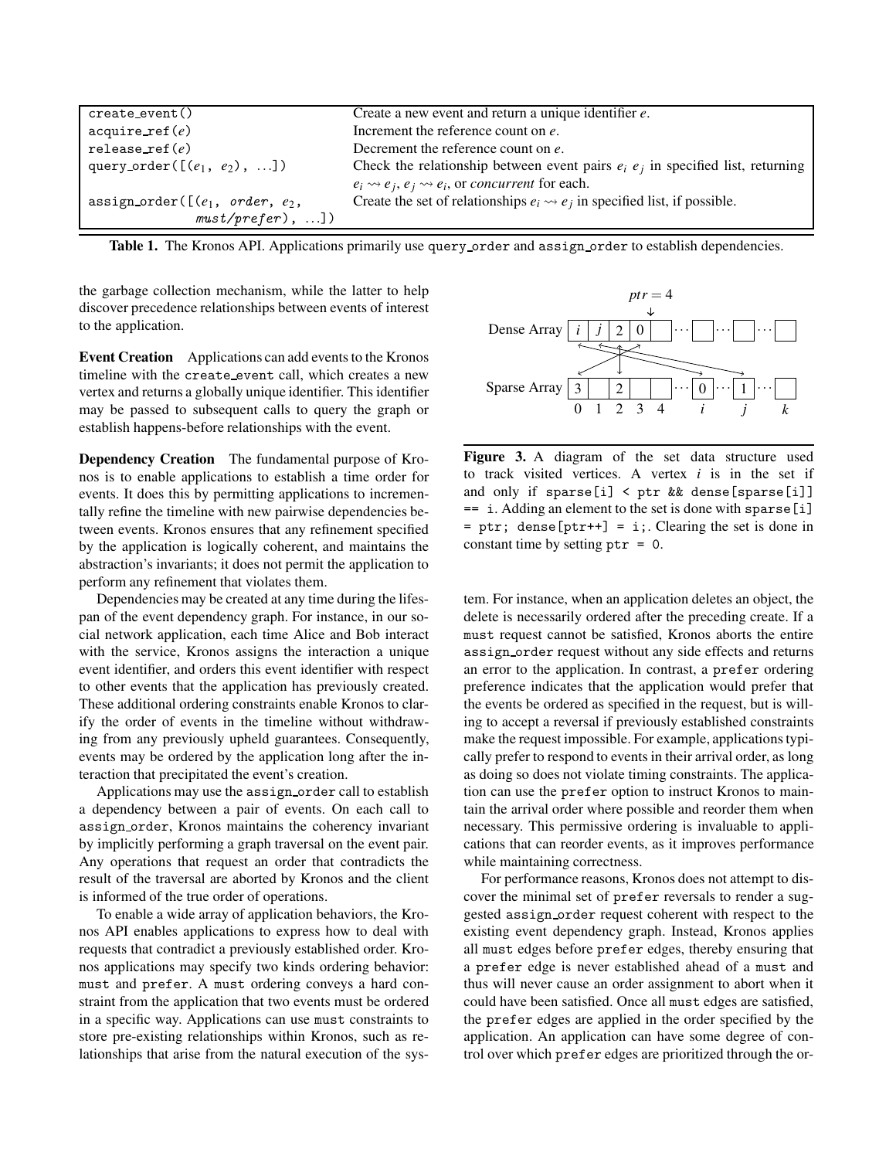| Create a new event and return a unique identifier e.                                  |
|---------------------------------------------------------------------------------------|
| Increment the reference count on e.                                                   |
| Decrement the reference count on e.                                                   |
| Check the relationship between event pairs $e_i$ $e_j$ in specified list, returning   |
| $e_i \rightsquigarrow e_j, e_j \rightsquigarrow e_i$ , or <i>concurrent</i> for each. |
| Create the set of relationships $e_i \rightarrow e_i$ in specified list, if possible. |
|                                                                                       |
|                                                                                       |

Table 1. The Kronos API. Applications primarily use query order and assign order to establish dependencies.

the garbage collection mechanism, while the latter to help discover precedence relationships between events of interest to the application.

Event Creation Applications can add events to the Kronos timeline with the create event call, which creates a new vertex and returns a globally unique identifier. This identifier may be passed to subsequent calls to query the graph or establish happens-before relationships with the event.

Dependency Creation The fundamental purpose of Kronos is to enable applications to establish a time order for events. It does this by permitting applications to incrementally refine the timeline with new pairwise dependencies between events. Kronos ensures that any refinement specified by the application is logically coherent, and maintains the abstraction's invariants; it does not permit the application to perform any refinement that violates them.

Dependencies may be created at any time during the lifespan of the event dependency graph. For instance, in our social network application, each time Alice and Bob interact with the service, Kronos assigns the interaction a unique event identifier, and orders this event identifier with respect to other events that the application has previously created. These additional ordering constraints enable Kronos to clarify the order of events in the timeline without withdrawing from any previously upheld guarantees. Consequently, events may be ordered by the application long after the interaction that precipitated the event's creation.

Applications may use the assign order call to establish a dependency between a pair of events. On each call to assign order, Kronos maintains the coherency invariant by implicitly performing a graph traversal on the event pair. Any operations that request an order that contradicts the result of the traversal are aborted by Kronos and the client is informed of the true order of operations.

To enable a wide array of application behaviors, the Kronos API enables applications to express how to deal with requests that contradict a previously established order. Kronos applications may specify two kinds ordering behavior: must and prefer. A must ordering conveys a hard constraint from the application that two events must be ordered in a specific way. Applications can use must constraints to store pre-existing relationships within Kronos, such as relationships that arise from the natural execution of the sys-



Figure 3. A diagram of the set data structure used to track visited vertices. A vertex *i* is in the set if and only if sparse[i] < ptr && dense[sparse[i]] == i. Adding an element to the set is done with sparse[i]  $=$  ptr; dense[ptr++] = i;. Clearing the set is done in constant time by setting  $ptr = 0$ .

tem. For instance, when an application deletes an object, the delete is necessarily ordered after the preceding create. If a must request cannot be satisfied, Kronos aborts the entire assign order request without any side effects and returns an error to the application. In contrast, a prefer ordering preference indicates that the application would prefer that the events be ordered as specified in the request, but is willing to accept a reversal if previously established constraints make the request impossible. For example, applications typically prefer to respond to events in their arrival order, as long as doing so does not violate timing constraints. The application can use the prefer option to instruct Kronos to maintain the arrival order where possible and reorder them when necessary. This permissive ordering is invaluable to applications that can reorder events, as it improves performance while maintaining correctness.

For performance reasons, Kronos does not attempt to discover the minimal set of prefer reversals to render a suggested assign order request coherent with respect to the existing event dependency graph. Instead, Kronos applies all must edges before prefer edges, thereby ensuring that a prefer edge is never established ahead of a must and thus will never cause an order assignment to abort when it could have been satisfied. Once all must edges are satisfied, the prefer edges are applied in the order specified by the application. An application can have some degree of control over which prefer edges are prioritized through the or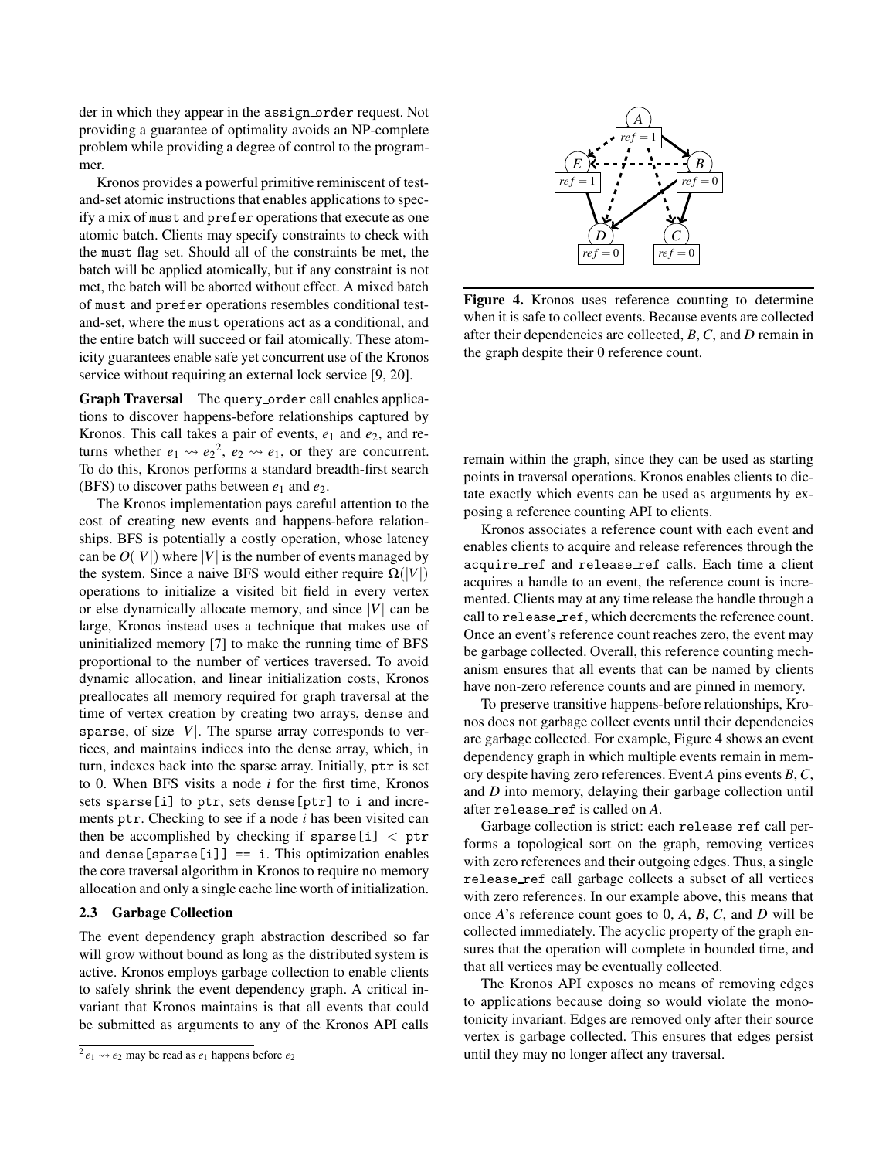der in which they appear in the assign order request. Not providing a guarantee of optimality avoids an NP-complete problem while providing a degree of control to the programmer.

Kronos provides a powerful primitive reminiscent of testand-set atomic instructions that enables applications to specify a mix of must and prefer operations that execute as one atomic batch. Clients may specify constraints to check with the must flag set. Should all of the constraints be met, the batch will be applied atomically, but if any constraint is not met, the batch will be aborted without effect. A mixed batch of must and prefer operations resembles conditional testand-set, where the must operations act as a conditional, and the entire batch will succeed or fail atomically. These atomicity guarantees enable safe yet concurrent use of the Kronos service without requiring an external lock service [9, 20].

Graph Traversal The query order call enables applications to discover happens-before relationships captured by Kronos. This call takes a pair of events,  $e_1$  and  $e_2$ , and returns whether  $e_1 \rightsquigarrow e_2^2$ ,  $e_2 \rightsquigarrow e_1$ , or they are concurrent. To do this, Kronos performs a standard breadth-first search (BFS) to discover paths between  $e_1$  and  $e_2$ .

The Kronos implementation pays careful attention to the cost of creating new events and happens-before relationships. BFS is potentially a costly operation, whose latency can be  $O(|V|)$  where |*V*| is the number of events managed by the system. Since a naive BFS would either require  $Ω(|V|)$ operations to initialize a visited bit field in every vertex or else dynamically allocate memory, and since |*V*| can be large, Kronos instead uses a technique that makes use of uninitialized memory [7] to make the running time of BFS proportional to the number of vertices traversed. To avoid dynamic allocation, and linear initialization costs, Kronos preallocates all memory required for graph traversal at the time of vertex creation by creating two arrays, dense and sparse, of size  $|V|$ . The sparse array corresponds to vertices, and maintains indices into the dense array, which, in turn, indexes back into the sparse array. Initially, ptr is set to 0. When BFS visits a node *i* for the first time, Kronos sets sparse[i] to ptr, sets dense[ptr] to i and increments ptr. Checking to see if a node *i* has been visited can then be accomplished by checking if sparse[i]  $\langle$  ptr and dense [sparse[i]]  $==$  i. This optimization enables the core traversal algorithm in Kronos to require no memory allocation and only a single cache line worth of initialization.

## 2.3 Garbage Collection

The event dependency graph abstraction described so far will grow without bound as long as the distributed system is active. Kronos employs garbage collection to enable clients to safely shrink the event dependency graph. A critical invariant that Kronos maintains is that all events that could be submitted as arguments to any of the Kronos API calls



Figure 4. Kronos uses reference counting to determine when it is safe to collect events. Because events are collected after their dependencies are collected, *B*, *C*, and *D* remain in the graph despite their 0 reference count.

remain within the graph, since they can be used as starting points in traversal operations. Kronos enables clients to dictate exactly which events can be used as arguments by exposing a reference counting API to clients.

Kronos associates a reference count with each event and enables clients to acquire and release references through the acquire ref and release ref calls. Each time a client acquires a handle to an event, the reference count is incremented. Clients may at any time release the handle through a call to release ref, which decrements the reference count. Once an event's reference count reaches zero, the event may be garbage collected. Overall, this reference counting mechanism ensures that all events that can be named by clients have non-zero reference counts and are pinned in memory.

To preserve transitive happens-before relationships, Kronos does not garbage collect events until their dependencies are garbage collected. For example, Figure 4 shows an event dependency graph in which multiple events remain in memory despite having zero references. Event *A* pins events *B*, *C*, and *D* into memory, delaying their garbage collection until after release ref is called on *A*.

Garbage collection is strict: each release ref call performs a topological sort on the graph, removing vertices with zero references and their outgoing edges. Thus, a single release ref call garbage collects a subset of all vertices with zero references. In our example above, this means that once *A*'s reference count goes to 0, *A*, *B*, *C*, and *D* will be collected immediately. The acyclic property of the graph ensures that the operation will complete in bounded time, and that all vertices may be eventually collected.

The Kronos API exposes no means of removing edges to applications because doing so would violate the monotonicity invariant. Edges are removed only after their source vertex is garbage collected. This ensures that edges persist until they may no longer affect any traversal.

 $e_1 \rightarrow e_2$  may be read as  $e_1$  happens before  $e_2$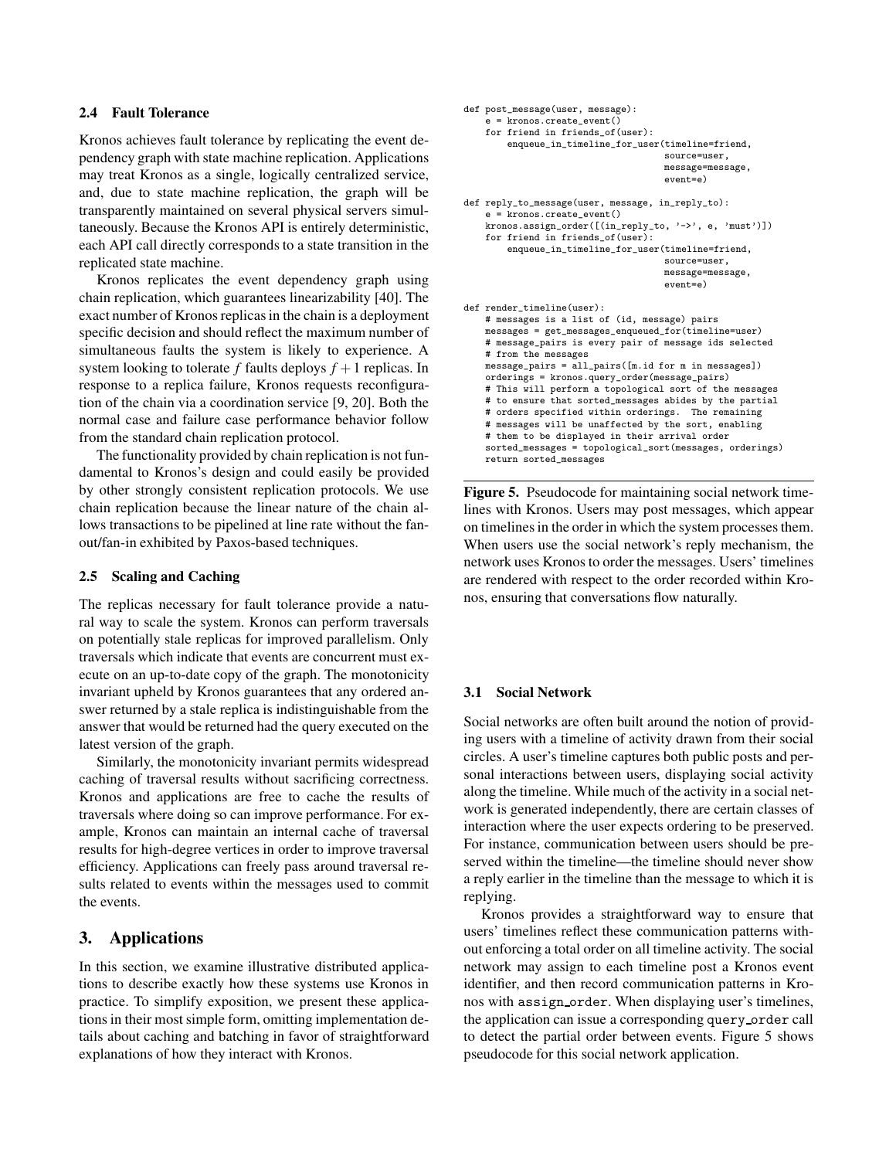# 2.4 Fault Tolerance

Kronos achieves fault tolerance by replicating the event dependency graph with state machine replication. Applications may treat Kronos as a single, logically centralized service, and, due to state machine replication, the graph will be transparently maintained on several physical servers simultaneously. Because the Kronos API is entirely deterministic, each API call directly corresponds to a state transition in the replicated state machine.

Kronos replicates the event dependency graph using chain replication, which guarantees linearizability [40]. The exact number of Kronos replicas in the chain is a deployment specific decision and should reflect the maximum number of simultaneous faults the system is likely to experience. A system looking to tolerate *f* faults deploys  $f + 1$  replicas. In response to a replica failure, Kronos requests reconfiguration of the chain via a coordination service [9, 20]. Both the normal case and failure case performance behavior follow from the standard chain replication protocol.

The functionality provided by chain replication is not fundamental to Kronos's design and could easily be provided by other strongly consistent replication protocols. We use chain replication because the linear nature of the chain allows transactions to be pipelined at line rate without the fanout/fan-in exhibited by Paxos-based techniques.

## 2.5 Scaling and Caching

The replicas necessary for fault tolerance provide a natural way to scale the system. Kronos can perform traversals on potentially stale replicas for improved parallelism. Only traversals which indicate that events are concurrent must execute on an up-to-date copy of the graph. The monotonicity invariant upheld by Kronos guarantees that any ordered answer returned by a stale replica is indistinguishable from the answer that would be returned had the query executed on the latest version of the graph.

Similarly, the monotonicity invariant permits widespread caching of traversal results without sacrificing correctness. Kronos and applications are free to cache the results of traversals where doing so can improve performance. For example, Kronos can maintain an internal cache of traversal results for high-degree vertices in order to improve traversal efficiency. Applications can freely pass around traversal results related to events within the messages used to commit the events.

# 3. Applications

In this section, we examine illustrative distributed applications to describe exactly how these systems use Kronos in practice. To simplify exposition, we present these applications in their most simple form, omitting implementation details about caching and batching in favor of straightforward explanations of how they interact with Kronos.

```
def post message(user, message):
    e = kronos.create event()
    for friend in friends_of(user):
        enqueue in timeline for user(timeline=friend,
                                     source=user,
                                     message=message,
                                     event=e)
def reply_to_message(user, message, in_reply_to):
    e = kronos.create_event()
    kronos.assign_order([(in_reply_to, '->', e, 'must')])
   for friend in friends_of(user):
        enqueue_in_timeline_for_user(timeline=friend,
                                     source=user,
                                     message=message,
                                     event=e)
def render_timeline(user):
   # messages is a list of (id, message) pairs
   messages = get_messages_enqueued_for(timeline=user)
    # message_pairs is every pair of message ids selected
    # from the messages
   message_pairs = all_pairs([m.id for m in messages])
    orderings = kronos.query_order(message_pairs)
    # This will perform a topological sort of the messages
    # to ensure that sorted_messages abides by the partial
    # orders specified within orderings. The remaining
    # messages will be unaffected by the sort, enabling
    # them to be displayed in their arrival order
    sorted_messages = topological_sort(messages, orderings)
    return sorted_messages
```
Figure 5. Pseudocode for maintaining social network timelines with Kronos. Users may post messages, which appear on timelines in the order in which the system processes them. When users use the social network's reply mechanism, the network uses Kronos to order the messages. Users' timelines are rendered with respect to the order recorded within Kronos, ensuring that conversations flow naturally.

# 3.1 Social Network

Social networks are often built around the notion of providing users with a timeline of activity drawn from their social circles. A user's timeline captures both public posts and personal interactions between users, displaying social activity along the timeline. While much of the activity in a social network is generated independently, there are certain classes of interaction where the user expects ordering to be preserved. For instance, communication between users should be preserved within the timeline—the timeline should never show a reply earlier in the timeline than the message to which it is replying.

Kronos provides a straightforward way to ensure that users' timelines reflect these communication patterns without enforcing a total order on all timeline activity. The social network may assign to each timeline post a Kronos event identifier, and then record communication patterns in Kronos with assign order. When displaying user's timelines, the application can issue a corresponding query order call to detect the partial order between events. Figure 5 shows pseudocode for this social network application.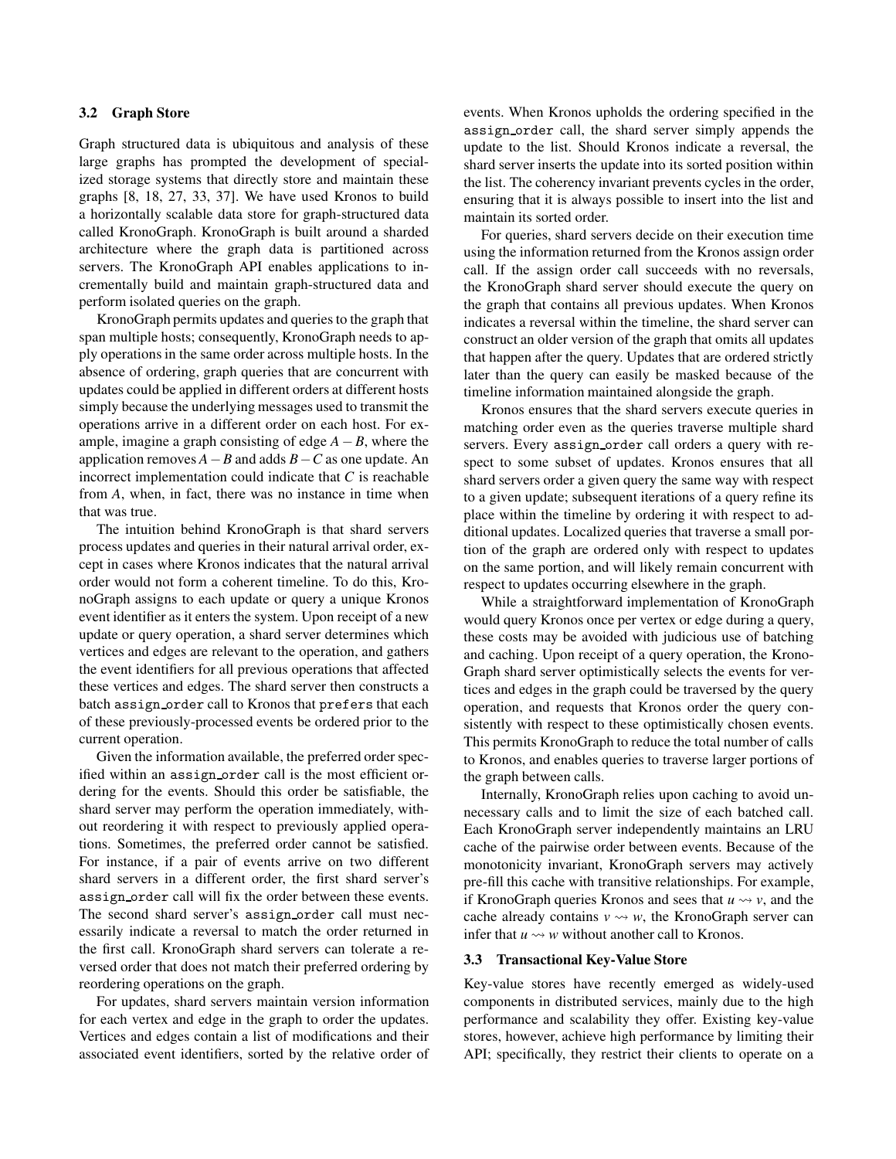# 3.2 Graph Store

Graph structured data is ubiquitous and analysis of these large graphs has prompted the development of specialized storage systems that directly store and maintain these graphs [8, 18, 27, 33, 37]. We have used Kronos to build a horizontally scalable data store for graph-structured data called KronoGraph. KronoGraph is built around a sharded architecture where the graph data is partitioned across servers. The KronoGraph API enables applications to incrementally build and maintain graph-structured data and perform isolated queries on the graph.

KronoGraph permits updates and queries to the graph that span multiple hosts; consequently, KronoGraph needs to apply operations in the same order across multiple hosts. In the absence of ordering, graph queries that are concurrent with updates could be applied in different orders at different hosts simply because the underlying messages used to transmit the operations arrive in a different order on each host. For example, imagine a graph consisting of edge *A*−*B*, where the application removes *A*−*B* and adds *B*−*C* as one update. An incorrect implementation could indicate that *C* is reachable from *A*, when, in fact, there was no instance in time when that was true.

The intuition behind KronoGraph is that shard servers process updates and queries in their natural arrival order, except in cases where Kronos indicates that the natural arrival order would not form a coherent timeline. To do this, KronoGraph assigns to each update or query a unique Kronos event identifier as it enters the system. Upon receipt of a new update or query operation, a shard server determines which vertices and edges are relevant to the operation, and gathers the event identifiers for all previous operations that affected these vertices and edges. The shard server then constructs a batch assign order call to Kronos that prefers that each of these previously-processed events be ordered prior to the current operation.

Given the information available, the preferred order specified within an assign order call is the most efficient ordering for the events. Should this order be satisfiable, the shard server may perform the operation immediately, without reordering it with respect to previously applied operations. Sometimes, the preferred order cannot be satisfied. For instance, if a pair of events arrive on two different shard servers in a different order, the first shard server's assign order call will fix the order between these events. The second shard server's assign order call must necessarily indicate a reversal to match the order returned in the first call. KronoGraph shard servers can tolerate a reversed order that does not match their preferred ordering by reordering operations on the graph.

For updates, shard servers maintain version information for each vertex and edge in the graph to order the updates. Vertices and edges contain a list of modifications and their associated event identifiers, sorted by the relative order of events. When Kronos upholds the ordering specified in the assign order call, the shard server simply appends the update to the list. Should Kronos indicate a reversal, the shard server inserts the update into its sorted position within the list. The coherency invariant prevents cycles in the order, ensuring that it is always possible to insert into the list and maintain its sorted order.

For queries, shard servers decide on their execution time using the information returned from the Kronos assign order call. If the assign order call succeeds with no reversals, the KronoGraph shard server should execute the query on the graph that contains all previous updates. When Kronos indicates a reversal within the timeline, the shard server can construct an older version of the graph that omits all updates that happen after the query. Updates that are ordered strictly later than the query can easily be masked because of the timeline information maintained alongside the graph.

Kronos ensures that the shard servers execute queries in matching order even as the queries traverse multiple shard servers. Every assign order call orders a query with respect to some subset of updates. Kronos ensures that all shard servers order a given query the same way with respect to a given update; subsequent iterations of a query refine its place within the timeline by ordering it with respect to additional updates. Localized queries that traverse a small portion of the graph are ordered only with respect to updates on the same portion, and will likely remain concurrent with respect to updates occurring elsewhere in the graph.

While a straightforward implementation of KronoGraph would query Kronos once per vertex or edge during a query, these costs may be avoided with judicious use of batching and caching. Upon receipt of a query operation, the Krono-Graph shard server optimistically selects the events for vertices and edges in the graph could be traversed by the query operation, and requests that Kronos order the query consistently with respect to these optimistically chosen events. This permits KronoGraph to reduce the total number of calls to Kronos, and enables queries to traverse larger portions of the graph between calls.

Internally, KronoGraph relies upon caching to avoid unnecessary calls and to limit the size of each batched call. Each KronoGraph server independently maintains an LRU cache of the pairwise order between events. Because of the monotonicity invariant, KronoGraph servers may actively pre-fill this cache with transitive relationships. For example, if KronoGraph queries Kronos and sees that  $u \rightsquigarrow v$ , and the cache already contains  $v \leftrightarrow w$ , the KronoGraph server can infer that  $u \rightarrow w$  without another call to Kronos.

#### 3.3 Transactional Key-Value Store

Key-value stores have recently emerged as widely-used components in distributed services, mainly due to the high performance and scalability they offer. Existing key-value stores, however, achieve high performance by limiting their API; specifically, they restrict their clients to operate on a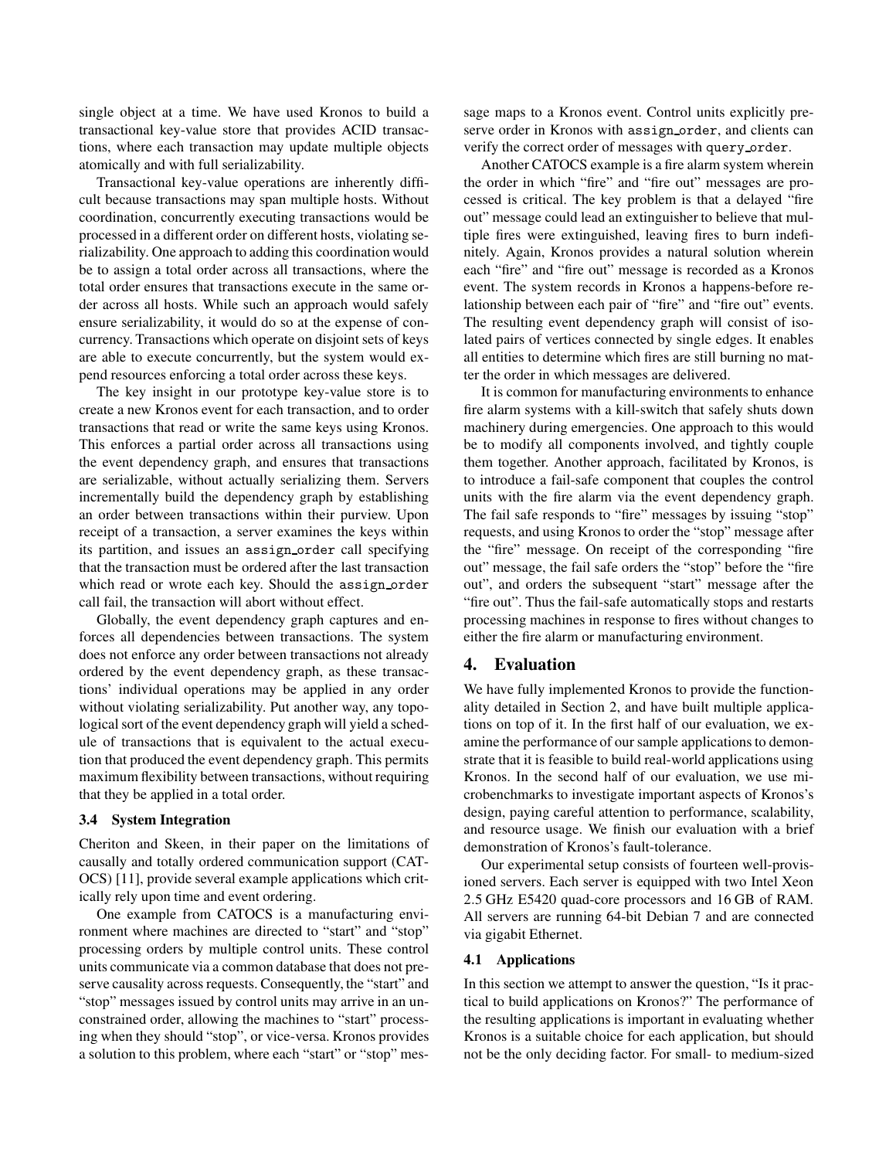single object at a time. We have used Kronos to build a transactional key-value store that provides ACID transactions, where each transaction may update multiple objects atomically and with full serializability.

Transactional key-value operations are inherently difficult because transactions may span multiple hosts. Without coordination, concurrently executing transactions would be processed in a different order on different hosts, violating serializability. One approach to adding this coordination would be to assign a total order across all transactions, where the total order ensures that transactions execute in the same order across all hosts. While such an approach would safely ensure serializability, it would do so at the expense of concurrency. Transactions which operate on disjoint sets of keys are able to execute concurrently, but the system would expend resources enforcing a total order across these keys.

The key insight in our prototype key-value store is to create a new Kronos event for each transaction, and to order transactions that read or write the same keys using Kronos. This enforces a partial order across all transactions using the event dependency graph, and ensures that transactions are serializable, without actually serializing them. Servers incrementally build the dependency graph by establishing an order between transactions within their purview. Upon receipt of a transaction, a server examines the keys within its partition, and issues an assign order call specifying that the transaction must be ordered after the last transaction which read or wrote each key. Should the assign order call fail, the transaction will abort without effect.

Globally, the event dependency graph captures and enforces all dependencies between transactions. The system does not enforce any order between transactions not already ordered by the event dependency graph, as these transactions' individual operations may be applied in any order without violating serializability. Put another way, any topological sort of the event dependency graph will yield a schedule of transactions that is equivalent to the actual execution that produced the event dependency graph. This permits maximum flexibility between transactions, without requiring that they be applied in a total order.

# 3.4 System Integration

Cheriton and Skeen, in their paper on the limitations of causally and totally ordered communication support (CAT-OCS) [11], provide several example applications which critically rely upon time and event ordering.

One example from CATOCS is a manufacturing environment where machines are directed to "start" and "stop" processing orders by multiple control units. These control units communicate via a common database that does not preserve causality across requests. Consequently, the "start" and "stop" messages issued by control units may arrive in an unconstrained order, allowing the machines to "start" processing when they should "stop", or vice-versa. Kronos provides a solution to this problem, where each "start" or "stop" mes-

sage maps to a Kronos event. Control units explicitly preserve order in Kronos with assign order, and clients can verify the correct order of messages with query order.

Another CATOCS example is a fire alarm system wherein the order in which "fire" and "fire out" messages are processed is critical. The key problem is that a delayed "fire out" message could lead an extinguisher to believe that multiple fires were extinguished, leaving fires to burn indefinitely. Again, Kronos provides a natural solution wherein each "fire" and "fire out" message is recorded as a Kronos event. The system records in Kronos a happens-before relationship between each pair of "fire" and "fire out" events. The resulting event dependency graph will consist of isolated pairs of vertices connected by single edges. It enables all entities to determine which fires are still burning no matter the order in which messages are delivered.

It is common for manufacturing environments to enhance fire alarm systems with a kill-switch that safely shuts down machinery during emergencies. One approach to this would be to modify all components involved, and tightly couple them together. Another approach, facilitated by Kronos, is to introduce a fail-safe component that couples the control units with the fire alarm via the event dependency graph. The fail safe responds to "fire" messages by issuing "stop" requests, and using Kronos to order the "stop" message after the "fire" message. On receipt of the corresponding "fire out" message, the fail safe orders the "stop" before the "fire out", and orders the subsequent "start" message after the "fire out". Thus the fail-safe automatically stops and restarts processing machines in response to fires without changes to either the fire alarm or manufacturing environment.

# 4. Evaluation

We have fully implemented Kronos to provide the functionality detailed in Section 2, and have built multiple applications on top of it. In the first half of our evaluation, we examine the performance of our sample applications to demonstrate that it is feasible to build real-world applications using Kronos. In the second half of our evaluation, we use microbenchmarks to investigate important aspects of Kronos's design, paying careful attention to performance, scalability, and resource usage. We finish our evaluation with a brief demonstration of Kronos's fault-tolerance.

Our experimental setup consists of fourteen well-provisioned servers. Each server is equipped with two Intel Xeon 2.5 GHz E5420 quad-core processors and 16 GB of RAM. All servers are running 64-bit Debian 7 and are connected via gigabit Ethernet.

## 4.1 Applications

In this section we attempt to answer the question, "Is it practical to build applications on Kronos?" The performance of the resulting applications is important in evaluating whether Kronos is a suitable choice for each application, but should not be the only deciding factor. For small- to medium-sized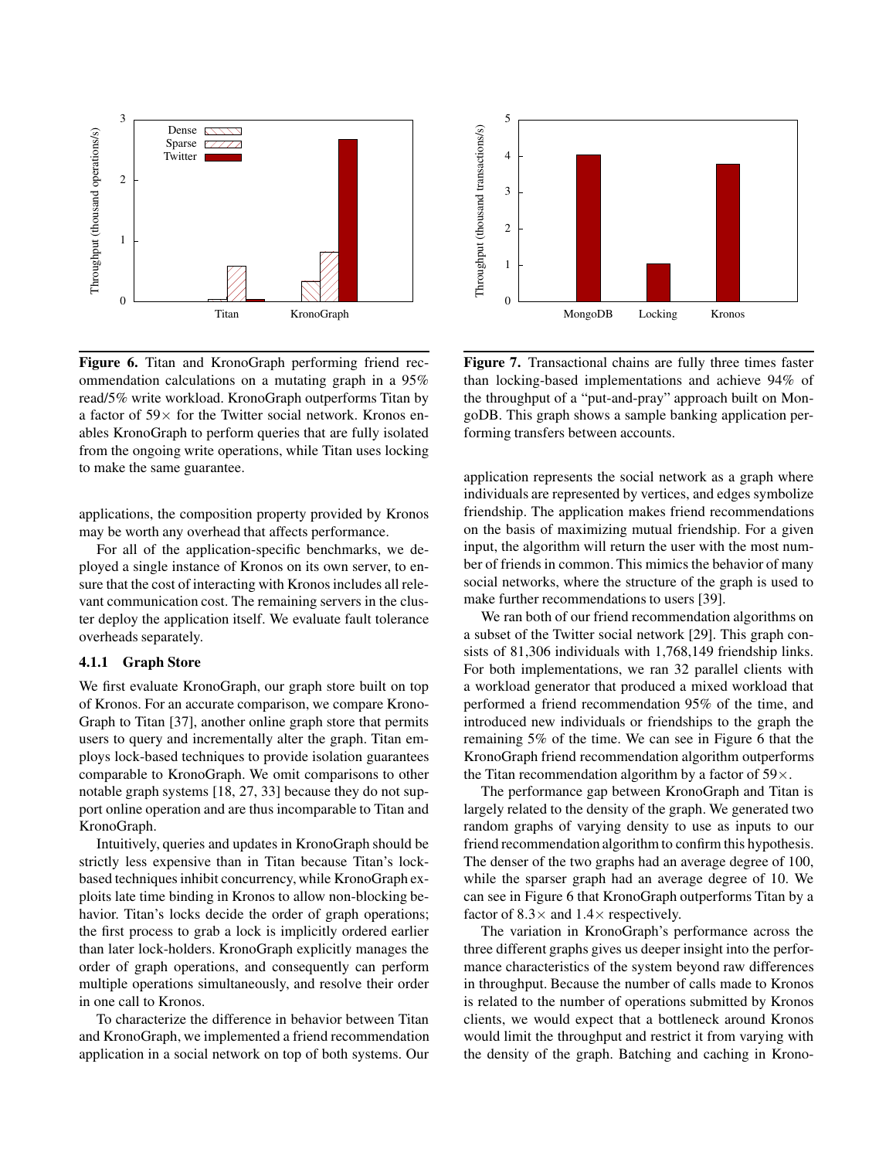

Figure 6. Titan and KronoGraph performing friend recommendation calculations on a mutating graph in a 95% read/5% write workload. KronoGraph outperforms Titan by a factor of  $59\times$  for the Twitter social network. Kronos enables KronoGraph to perform queries that are fully isolated from the ongoing write operations, while Titan uses locking to make the same guarantee.

applications, the composition property provided by Kronos may be worth any overhead that affects performance.

For all of the application-specific benchmarks, we deployed a single instance of Kronos on its own server, to ensure that the cost of interacting with Kronos includes all relevant communication cost. The remaining servers in the cluster deploy the application itself. We evaluate fault tolerance overheads separately.

## 4.1.1 Graph Store

We first evaluate KronoGraph, our graph store built on top of Kronos. For an accurate comparison, we compare Krono-Graph to Titan [37], another online graph store that permits users to query and incrementally alter the graph. Titan employs lock-based techniques to provide isolation guarantees comparable to KronoGraph. We omit comparisons to other notable graph systems [18, 27, 33] because they do not support online operation and are thus incomparable to Titan and KronoGraph.

Intuitively, queries and updates in KronoGraph should be strictly less expensive than in Titan because Titan's lockbased techniques inhibit concurrency, while KronoGraph exploits late time binding in Kronos to allow non-blocking behavior. Titan's locks decide the order of graph operations; the first process to grab a lock is implicitly ordered earlier than later lock-holders. KronoGraph explicitly manages the order of graph operations, and consequently can perform multiple operations simultaneously, and resolve their order in one call to Kronos.

To characterize the difference in behavior between Titan and KronoGraph, we implemented a friend recommendation application in a social network on top of both systems. Our



Figure 7. Transactional chains are fully three times faster than locking-based implementations and achieve 94% of the throughput of a "put-and-pray" approach built on MongoDB. This graph shows a sample banking application performing transfers between accounts.

application represents the social network as a graph where individuals are represented by vertices, and edges symbolize friendship. The application makes friend recommendations on the basis of maximizing mutual friendship. For a given input, the algorithm will return the user with the most number of friends in common. This mimics the behavior of many social networks, where the structure of the graph is used to make further recommendations to users [39].

We ran both of our friend recommendation algorithms on a subset of the Twitter social network [29]. This graph consists of 81,306 individuals with 1,768,149 friendship links. For both implementations, we ran 32 parallel clients with a workload generator that produced a mixed workload that performed a friend recommendation 95% of the time, and introduced new individuals or friendships to the graph the remaining 5% of the time. We can see in Figure 6 that the KronoGraph friend recommendation algorithm outperforms the Titan recommendation algorithm by a factor of  $59\times$ .

The performance gap between KronoGraph and Titan is largely related to the density of the graph. We generated two random graphs of varying density to use as inputs to our friend recommendation algorithm to confirm this hypothesis. The denser of the two graphs had an average degree of 100, while the sparser graph had an average degree of 10. We can see in Figure 6 that KronoGraph outperforms Titan by a factor of  $8.3 \times$  and  $1.4 \times$  respectively.

The variation in KronoGraph's performance across the three different graphs gives us deeper insight into the performance characteristics of the system beyond raw differences in throughput. Because the number of calls made to Kronos is related to the number of operations submitted by Kronos clients, we would expect that a bottleneck around Kronos would limit the throughput and restrict it from varying with the density of the graph. Batching and caching in Krono-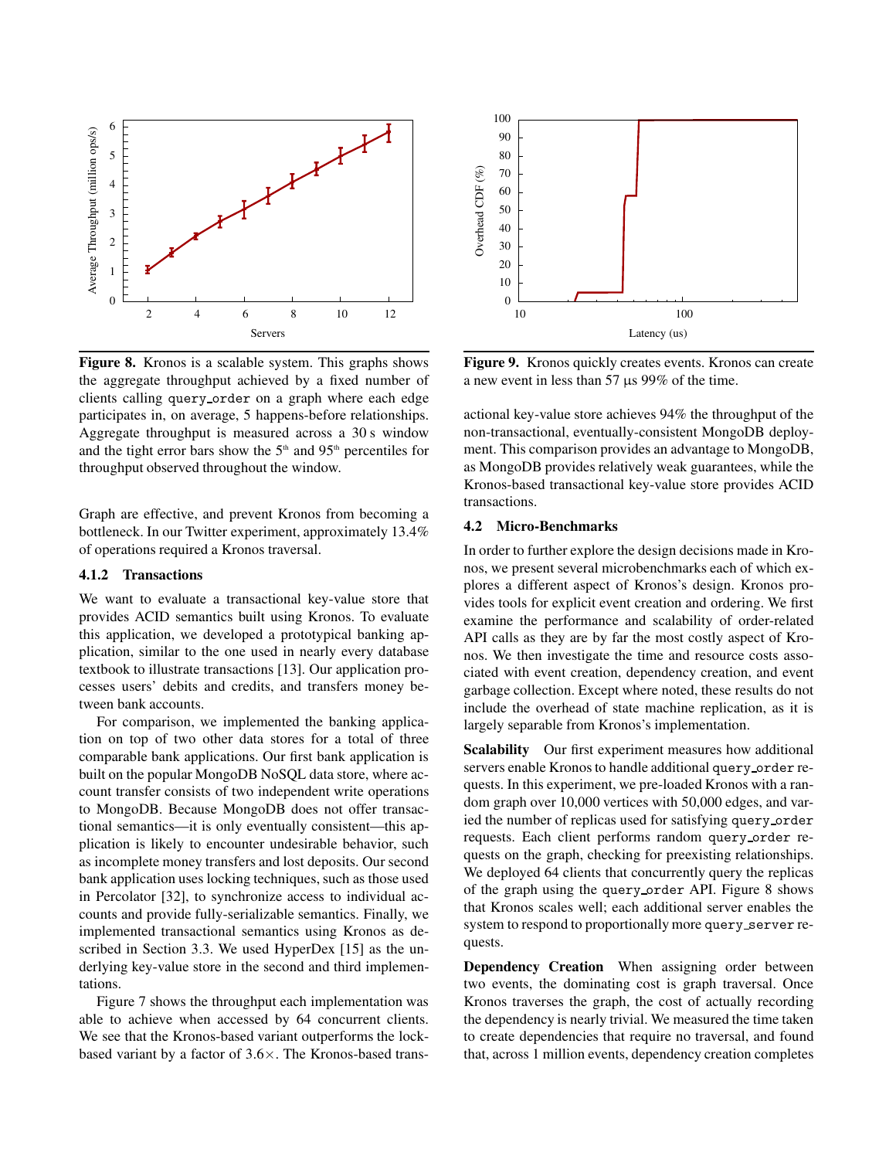

Figure 8. Kronos is a scalable system. This graphs shows the aggregate throughput achieved by a fixed number of clients calling query order on a graph where each edge participates in, on average, 5 happens-before relationships. Aggregate throughput is measured across a 30 s window and the tight error bars show the  $5<sup>th</sup>$  and  $95<sup>th</sup>$  percentiles for throughput observed throughout the window.

Graph are effective, and prevent Kronos from becoming a bottleneck. In our Twitter experiment, approximately 13.4% of operations required a Kronos traversal.

### 4.1.2 Transactions

We want to evaluate a transactional key-value store that provides ACID semantics built using Kronos. To evaluate this application, we developed a prototypical banking application, similar to the one used in nearly every database textbook to illustrate transactions [13]. Our application processes users' debits and credits, and transfers money between bank accounts.

For comparison, we implemented the banking application on top of two other data stores for a total of three comparable bank applications. Our first bank application is built on the popular MongoDB NoSQL data store, where account transfer consists of two independent write operations to MongoDB. Because MongoDB does not offer transactional semantics—it is only eventually consistent—this application is likely to encounter undesirable behavior, such as incomplete money transfers and lost deposits. Our second bank application uses locking techniques, such as those used in Percolator [32], to synchronize access to individual accounts and provide fully-serializable semantics. Finally, we implemented transactional semantics using Kronos as described in Section 3.3. We used HyperDex [15] as the underlying key-value store in the second and third implementations.

Figure 7 shows the throughput each implementation was able to achieve when accessed by 64 concurrent clients. We see that the Kronos-based variant outperforms the lockbased variant by a factor of  $3.6 \times$ . The Kronos-based trans-



Figure 9. Kronos quickly creates events. Kronos can create a new event in less than 57 µs 99% of the time.

actional key-value store achieves 94% the throughput of the non-transactional, eventually-consistent MongoDB deployment. This comparison provides an advantage to MongoDB, as MongoDB provides relatively weak guarantees, while the Kronos-based transactional key-value store provides ACID transactions.

#### 4.2 Micro-Benchmarks

In order to further explore the design decisions made in Kronos, we present several microbenchmarks each of which explores a different aspect of Kronos's design. Kronos provides tools for explicit event creation and ordering. We first examine the performance and scalability of order-related API calls as they are by far the most costly aspect of Kronos. We then investigate the time and resource costs associated with event creation, dependency creation, and event garbage collection. Except where noted, these results do not include the overhead of state machine replication, as it is largely separable from Kronos's implementation.

Scalability Our first experiment measures how additional servers enable Kronos to handle additional query\_order requests. In this experiment, we pre-loaded Kronos with a random graph over 10,000 vertices with 50,000 edges, and varied the number of replicas used for satisfying query\_order requests. Each client performs random query order requests on the graph, checking for preexisting relationships. We deployed 64 clients that concurrently query the replicas of the graph using the query order API. Figure 8 shows that Kronos scales well; each additional server enables the system to respond to proportionally more query server requests.

Dependency Creation When assigning order between two events, the dominating cost is graph traversal. Once Kronos traverses the graph, the cost of actually recording the dependency is nearly trivial. We measured the time taken to create dependencies that require no traversal, and found that, across 1 million events, dependency creation completes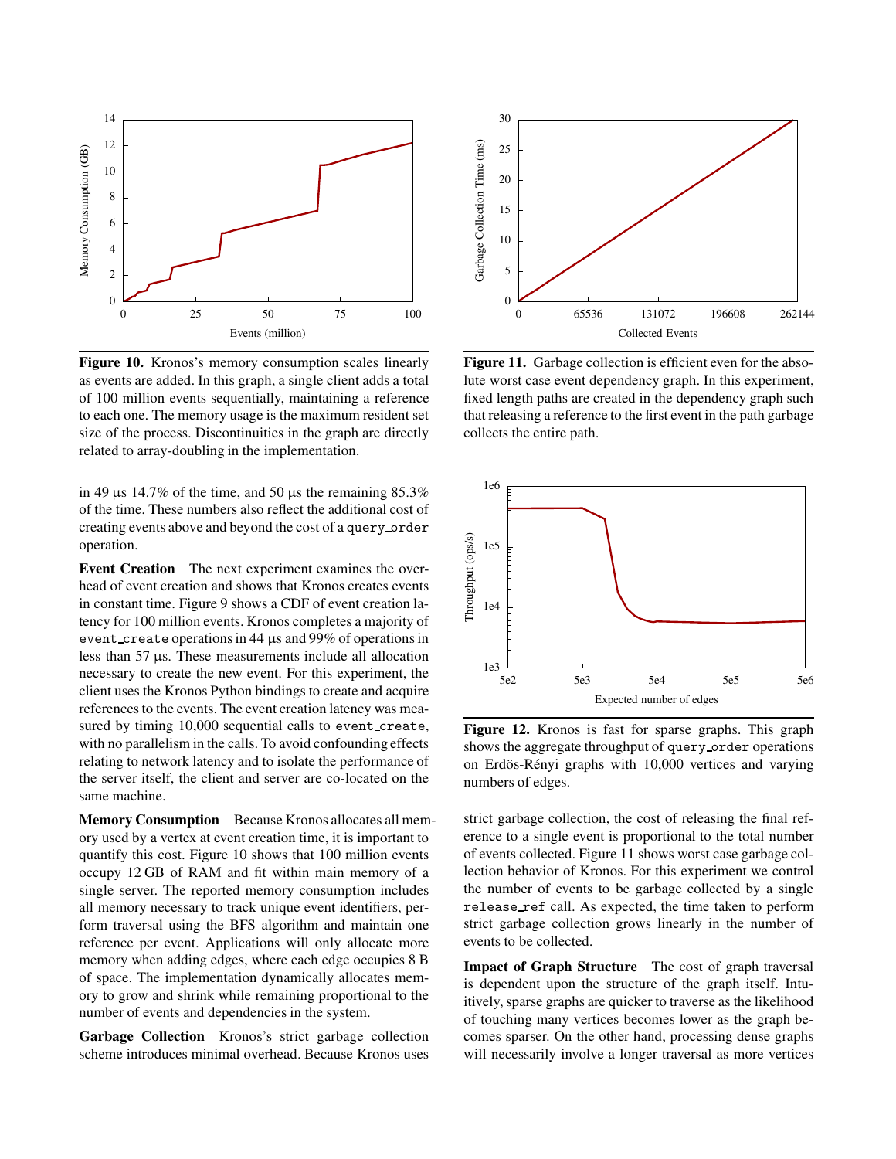

Figure 10. Kronos's memory consumption scales linearly as events are added. In this graph, a single client adds a total of 100 million events sequentially, maintaining a reference to each one. The memory usage is the maximum resident set size of the process. Discontinuities in the graph are directly related to array-doubling in the implementation.

in 49  $\mu$ s 14.7% of the time, and 50  $\mu$ s the remaining 85.3% of the time. These numbers also reflect the additional cost of creating events above and beyond the cost of a query\_order operation.

Event Creation The next experiment examines the overhead of event creation and shows that Kronos creates events in constant time. Figure 9 shows a CDF of event creation latency for 100 million events. Kronos completes a majority of event create operations in 44 µs and 99% of operations in less than 57 µs. These measurements include all allocation necessary to create the new event. For this experiment, the client uses the Kronos Python bindings to create and acquire references to the events. The event creation latency was measured by timing 10,000 sequential calls to event\_create, with no parallelism in the calls. To avoid confounding effects relating to network latency and to isolate the performance of the server itself, the client and server are co-located on the same machine.

Memory Consumption Because Kronos allocates all memory used by a vertex at event creation time, it is important to quantify this cost. Figure 10 shows that 100 million events occupy 12 GB of RAM and fit within main memory of a single server. The reported memory consumption includes all memory necessary to track unique event identifiers, perform traversal using the BFS algorithm and maintain one reference per event. Applications will only allocate more memory when adding edges, where each edge occupies 8 B of space. The implementation dynamically allocates memory to grow and shrink while remaining proportional to the number of events and dependencies in the system.

Garbage Collection Kronos's strict garbage collection scheme introduces minimal overhead. Because Kronos uses



Figure 11. Garbage collection is efficient even for the absolute worst case event dependency graph. In this experiment, fixed length paths are created in the dependency graph such that releasing a reference to the first event in the path garbage collects the entire path.



Figure 12. Kronos is fast for sparse graphs. This graph shows the aggregate throughput of query\_order operations on Erdös-Rényi graphs with 10,000 vertices and varying numbers of edges.

strict garbage collection, the cost of releasing the final reference to a single event is proportional to the total number of events collected. Figure 11 shows worst case garbage collection behavior of Kronos. For this experiment we control the number of events to be garbage collected by a single release ref call. As expected, the time taken to perform strict garbage collection grows linearly in the number of events to be collected.

Impact of Graph Structure The cost of graph traversal is dependent upon the structure of the graph itself. Intuitively, sparse graphs are quicker to traverse as the likelihood of touching many vertices becomes lower as the graph becomes sparser. On the other hand, processing dense graphs will necessarily involve a longer traversal as more vertices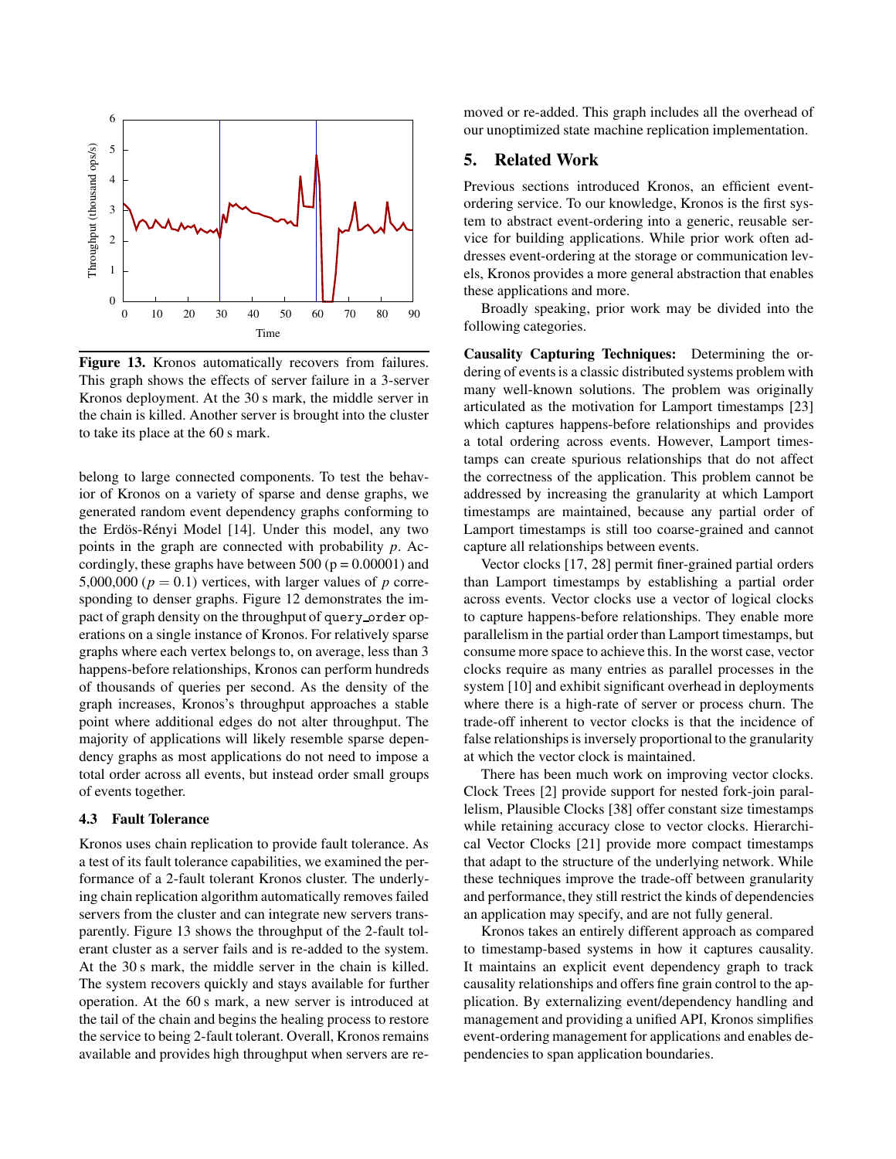

Figure 13. Kronos automatically recovers from failures. This graph shows the effects of server failure in a 3-server Kronos deployment. At the 30 s mark, the middle server in the chain is killed. Another server is brought into the cluster to take its place at the 60 s mark.

belong to large connected components. To test the behavior of Kronos on a variety of sparse and dense graphs, we generated random event dependency graphs conforming to the Erdös-Rényi Model [14]. Under this model, any two points in the graph are connected with probability *p*. Accordingly, these graphs have between 500 ( $p = 0.00001$ ) and 5,000,000 ( $p = 0.1$ ) vertices, with larger values of  $p$  corresponding to denser graphs. Figure 12 demonstrates the impact of graph density on the throughput of query order operations on a single instance of Kronos. For relatively sparse graphs where each vertex belongs to, on average, less than 3 happens-before relationships, Kronos can perform hundreds of thousands of queries per second. As the density of the graph increases, Kronos's throughput approaches a stable point where additional edges do not alter throughput. The majority of applications will likely resemble sparse dependency graphs as most applications do not need to impose a total order across all events, but instead order small groups of events together.

# 4.3 Fault Tolerance

Kronos uses chain replication to provide fault tolerance. As a test of its fault tolerance capabilities, we examined the performance of a 2-fault tolerant Kronos cluster. The underlying chain replication algorithm automatically removes failed servers from the cluster and can integrate new servers transparently. Figure 13 shows the throughput of the 2-fault tolerant cluster as a server fails and is re-added to the system. At the 30 s mark, the middle server in the chain is killed. The system recovers quickly and stays available for further operation. At the 60 s mark, a new server is introduced at the tail of the chain and begins the healing process to restore the service to being 2-fault tolerant. Overall, Kronos remains available and provides high throughput when servers are removed or re-added. This graph includes all the overhead of our unoptimized state machine replication implementation.

# 5. Related Work

Previous sections introduced Kronos, an efficient eventordering service. To our knowledge, Kronos is the first system to abstract event-ordering into a generic, reusable service for building applications. While prior work often addresses event-ordering at the storage or communication levels, Kronos provides a more general abstraction that enables these applications and more.

Broadly speaking, prior work may be divided into the following categories.

Causality Capturing Techniques: Determining the ordering of events is a classic distributed systems problem with many well-known solutions. The problem was originally articulated as the motivation for Lamport timestamps [23] which captures happens-before relationships and provides a total ordering across events. However, Lamport timestamps can create spurious relationships that do not affect the correctness of the application. This problem cannot be addressed by increasing the granularity at which Lamport timestamps are maintained, because any partial order of Lamport timestamps is still too coarse-grained and cannot capture all relationships between events.

Vector clocks [17, 28] permit finer-grained partial orders than Lamport timestamps by establishing a partial order across events. Vector clocks use a vector of logical clocks to capture happens-before relationships. They enable more parallelism in the partial order than Lamport timestamps, but consume more space to achieve this. In the worst case, vector clocks require as many entries as parallel processes in the system [10] and exhibit significant overhead in deployments where there is a high-rate of server or process churn. The trade-off inherent to vector clocks is that the incidence of false relationships is inversely proportional to the granularity at which the vector clock is maintained.

There has been much work on improving vector clocks. Clock Trees [2] provide support for nested fork-join parallelism, Plausible Clocks [38] offer constant size timestamps while retaining accuracy close to vector clocks. Hierarchical Vector Clocks [21] provide more compact timestamps that adapt to the structure of the underlying network. While these techniques improve the trade-off between granularity and performance, they still restrict the kinds of dependencies an application may specify, and are not fully general.

Kronos takes an entirely different approach as compared to timestamp-based systems in how it captures causality. It maintains an explicit event dependency graph to track causality relationships and offers fine grain control to the application. By externalizing event/dependency handling and management and providing a unified API, Kronos simplifies event-ordering management for applications and enables dependencies to span application boundaries.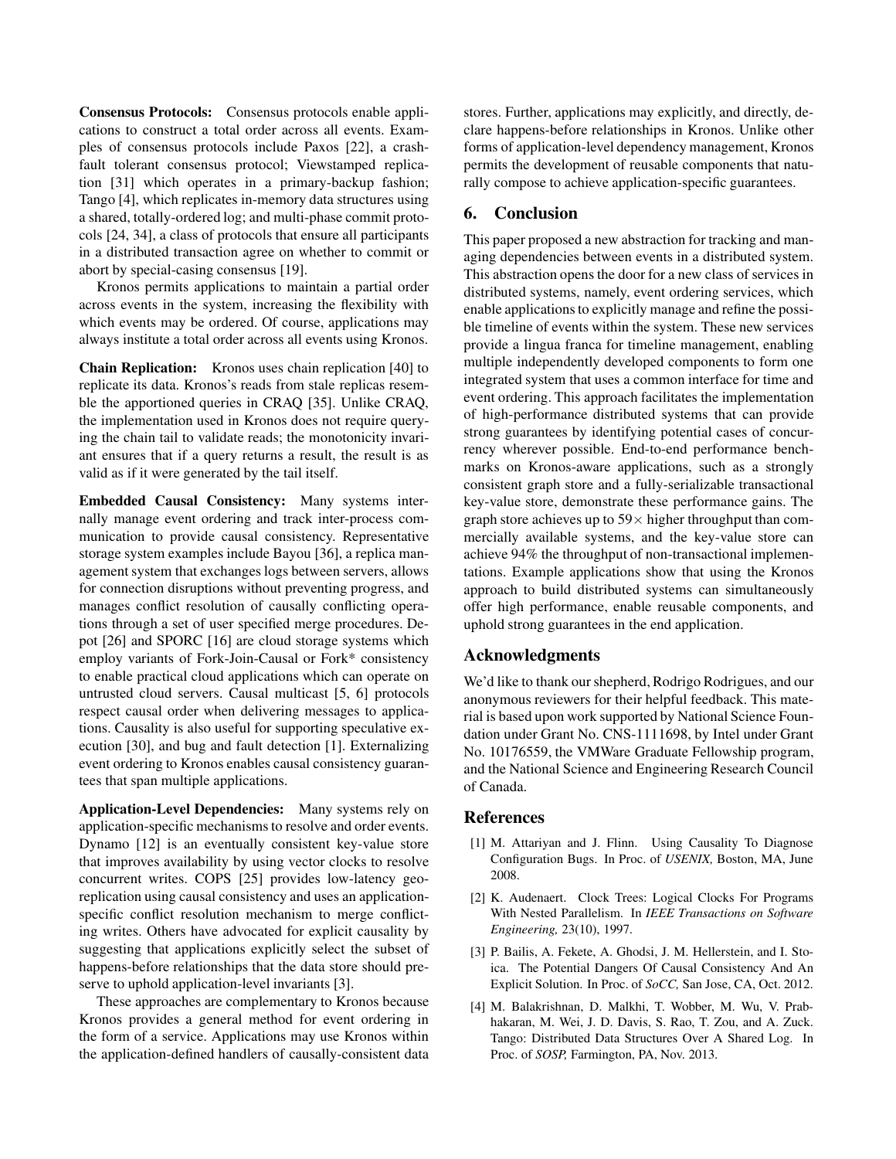Consensus Protocols: Consensus protocols enable applications to construct a total order across all events. Examples of consensus protocols include Paxos [22], a crashfault tolerant consensus protocol; Viewstamped replication [31] which operates in a primary-backup fashion; Tango [4], which replicates in-memory data structures using a shared, totally-ordered log; and multi-phase commit protocols [24, 34], a class of protocols that ensure all participants in a distributed transaction agree on whether to commit or abort by special-casing consensus [19].

Kronos permits applications to maintain a partial order across events in the system, increasing the flexibility with which events may be ordered. Of course, applications may always institute a total order across all events using Kronos.

Chain Replication: Kronos uses chain replication [40] to replicate its data. Kronos's reads from stale replicas resemble the apportioned queries in CRAQ [35]. Unlike CRAQ, the implementation used in Kronos does not require querying the chain tail to validate reads; the monotonicity invariant ensures that if a query returns a result, the result is as valid as if it were generated by the tail itself.

Embedded Causal Consistency: Many systems internally manage event ordering and track inter-process communication to provide causal consistency. Representative storage system examples include Bayou [36], a replica management system that exchanges logs between servers, allows for connection disruptions without preventing progress, and manages conflict resolution of causally conflicting operations through a set of user specified merge procedures. Depot [26] and SPORC [16] are cloud storage systems which employ variants of Fork-Join-Causal or Fork\* consistency to enable practical cloud applications which can operate on untrusted cloud servers. Causal multicast [5, 6] protocols respect causal order when delivering messages to applications. Causality is also useful for supporting speculative execution [30], and bug and fault detection [1]. Externalizing event ordering to Kronos enables causal consistency guarantees that span multiple applications.

Application-Level Dependencies: Many systems rely on application-specific mechanisms to resolve and order events. Dynamo [12] is an eventually consistent key-value store that improves availability by using vector clocks to resolve concurrent writes. COPS [25] provides low-latency georeplication using causal consistency and uses an applicationspecific conflict resolution mechanism to merge conflicting writes. Others have advocated for explicit causality by suggesting that applications explicitly select the subset of happens-before relationships that the data store should preserve to uphold application-level invariants [3].

These approaches are complementary to Kronos because Kronos provides a general method for event ordering in the form of a service. Applications may use Kronos within the application-defined handlers of causally-consistent data stores. Further, applications may explicitly, and directly, declare happens-before relationships in Kronos. Unlike other forms of application-level dependency management, Kronos permits the development of reusable components that naturally compose to achieve application-specific guarantees.

# 6. Conclusion

This paper proposed a new abstraction for tracking and managing dependencies between events in a distributed system. This abstraction opens the door for a new class of services in distributed systems, namely, event ordering services, which enable applications to explicitly manage and refine the possible timeline of events within the system. These new services provide a lingua franca for timeline management, enabling multiple independently developed components to form one integrated system that uses a common interface for time and event ordering. This approach facilitates the implementation of high-performance distributed systems that can provide strong guarantees by identifying potential cases of concurrency wherever possible. End-to-end performance benchmarks on Kronos-aware applications, such as a strongly consistent graph store and a fully-serializable transactional key-value store, demonstrate these performance gains. The graph store achieves up to  $59\times$  higher throughput than commercially available systems, and the key-value store can achieve 94% the throughput of non-transactional implementations. Example applications show that using the Kronos approach to build distributed systems can simultaneously offer high performance, enable reusable components, and uphold strong guarantees in the end application.

# Acknowledgments

We'd like to thank our shepherd, Rodrigo Rodrigues, and our anonymous reviewers for their helpful feedback. This material is based upon work supported by National Science Foundation under Grant No. CNS-1111698, by Intel under Grant No. 10176559, the VMWare Graduate Fellowship program, and the National Science and Engineering Research Council of Canada.

# References

- [1] M. Attariyan and J. Flinn. Using Causality To Diagnose Configuration Bugs. In Proc. of *USENIX,* Boston, MA, June 2008.
- [2] K. Audenaert. Clock Trees: Logical Clocks For Programs With Nested Parallelism. In *IEEE Transactions on Software Engineering,* 23(10), 1997.
- [3] P. Bailis, A. Fekete, A. Ghodsi, J. M. Hellerstein, and I. Stoica. The Potential Dangers Of Causal Consistency And An Explicit Solution. In Proc. of *SoCC,* San Jose, CA, Oct. 2012.
- [4] M. Balakrishnan, D. Malkhi, T. Wobber, M. Wu, V. Prabhakaran, M. Wei, J. D. Davis, S. Rao, T. Zou, and A. Zuck. Tango: Distributed Data Structures Over A Shared Log. In Proc. of *SOSP,* Farmington, PA, Nov. 2013.